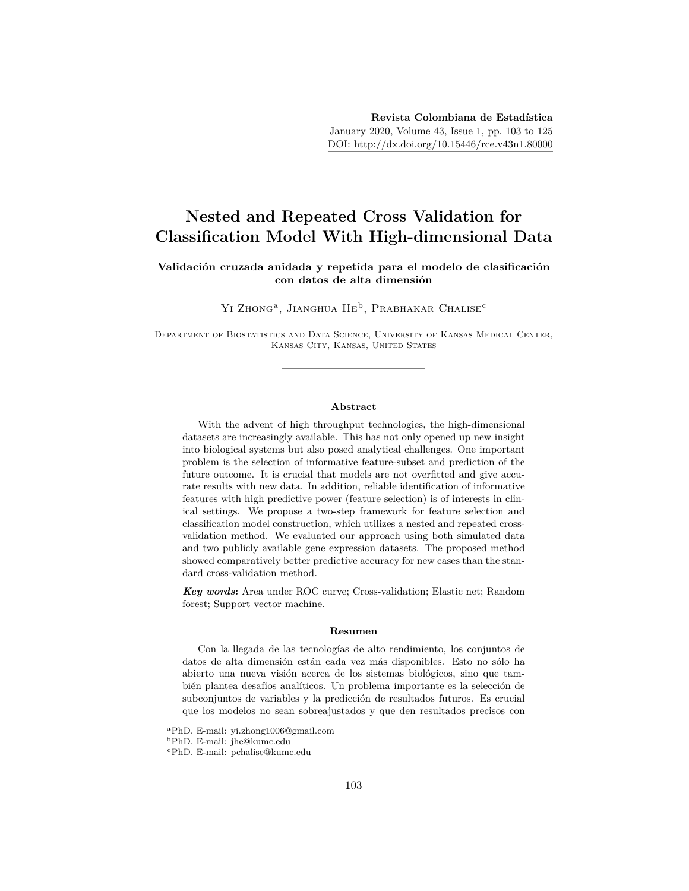# **Nested and Repeated Cross Validation for Classification Model With High-dimensional Data**

#### **Validación cruzada anidada y repetida para el modelo de clasificación con datos de alta dimensión**

YI ZHONG<sup>a</sup>, JIANGHUA HE<sup>b</sup>, PRABHAKAR CHALISE<sup>c</sup>

Department of Biostatistics and Data Science, University of Kansas Medical Center, Kansas City, Kansas, United States

#### **Abstract**

With the advent of high throughput technologies, the high-dimensional datasets are increasingly available. This has not only opened up new insight into biological systems but also posed analytical challenges. One important problem is the selection of informative feature-subset and prediction of the future outcome. It is crucial that models are not overfitted and give accurate results with new data. In addition, reliable identification of informative features with high predictive power (feature selection) is of interests in clinical settings. We propose a two-step framework for feature selection and classification model construction, which utilizes a nested and repeated crossvalidation method. We evaluated our approach using both simulated data and two publicly available gene expression datasets. The proposed method showed comparatively better predictive accuracy for new cases than the standard cross-validation method.

*Key words***:** Area under ROC curve; Cross-validation; Elastic net; Random forest; Support vector machine.

#### **Resumen**

Con la llegada de las tecnologías de alto rendimiento, los conjuntos de datos de alta dimensión están cada vez más disponibles. Esto no sólo ha abierto una nueva visión acerca de los sistemas biológicos, sino que también plantea desafíos analíticos. Un problema importante es la selección de subconjuntos de variables y la predicción de resultados futuros. Es crucial que los modelos no sean sobreajustados y que den resultados precisos con

<sup>a</sup>PhD. E-mail: yi.zhong1006@gmail.com

<sup>b</sup>PhD. E-mail: jhe@kumc.edu

<sup>c</sup>PhD. E-mail: pchalise@kumc.edu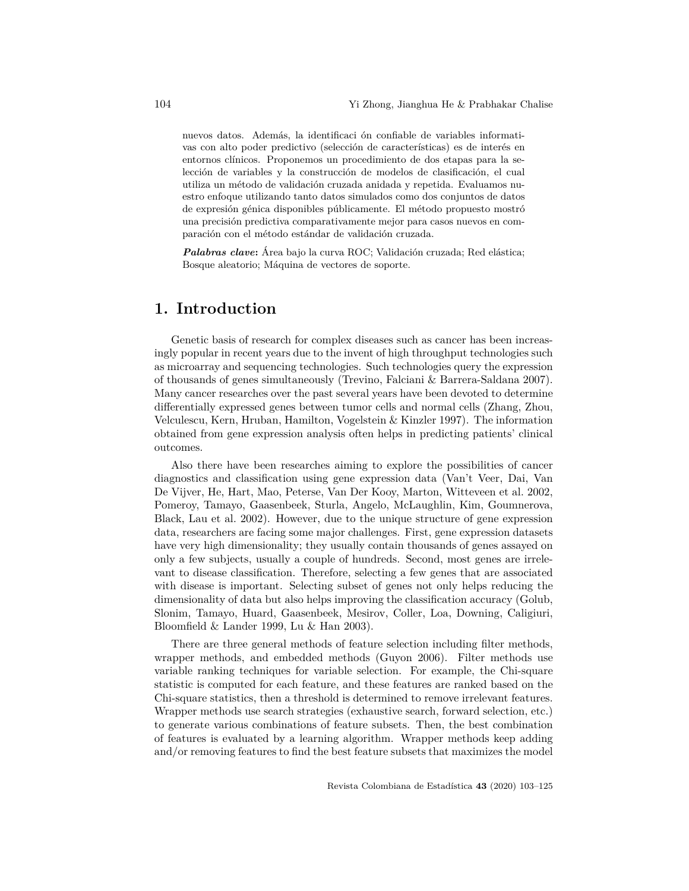nuevos datos. Además, la identificaci ón confiable de variables informativas con alto poder predictivo (selección de características) es de interés en entornos clínicos. Proponemos un procedimiento de dos etapas para la selección de variables y la construcción de modelos de clasificación, el cual utiliza un método de validación cruzada anidada y repetida. Evaluamos nuestro enfoque utilizando tanto datos simulados como dos conjuntos de datos de expresión génica disponibles públicamente. El método propuesto mostró una precisión predictiva comparativamente mejor para casos nuevos en comparación con el método estándar de validación cruzada.

*Palabras clave***:** Área bajo la curva ROC; Validación cruzada; Red elástica; Bosque aleatorio; Máquina de vectores de soporte.

## **1. Introduction**

Genetic basis of research for complex diseases such as cancer has been increasingly popular in recent years due to the invent of high throughput technologies such as microarray and sequencing technologies. Such technologies query the expression of thousands of genes simultaneously (Trevino, Falciani & Barrera-Saldana 2007). Many cancer researches over the past several years have been devoted to determine differentially expressed genes between tumor cells and normal cells (Zhang, Zhou, Velculescu, Kern, Hruban, Hamilton, Vogelstein & Kinzler 1997). The information obtained from gene expression analysis often helps in predicting patients' clinical outcomes.

Also there have been researches aiming to explore the possibilities of cancer diagnostics and classification using gene expression data (Van't Veer, Dai, Van De Vijver, He, Hart, Mao, Peterse, Van Der Kooy, Marton, Witteveen et al. 2002, Pomeroy, Tamayo, Gaasenbeek, Sturla, Angelo, McLaughlin, Kim, Goumnerova, Black, Lau et al. 2002). However, due to the unique structure of gene expression data, researchers are facing some major challenges. First, gene expression datasets have very high dimensionality; they usually contain thousands of genes assayed on only a few subjects, usually a couple of hundreds. Second, most genes are irrelevant to disease classification. Therefore, selecting a few genes that are associated with disease is important. Selecting subset of genes not only helps reducing the dimensionality of data but also helps improving the classification accuracy (Golub, Slonim, Tamayo, Huard, Gaasenbeek, Mesirov, Coller, Loa, Downing, Caligiuri, Bloomfield & Lander 1999, Lu & Han 2003).

There are three general methods of feature selection including filter methods, wrapper methods, and embedded methods (Guyon 2006). Filter methods use variable ranking techniques for variable selection. For example, the Chi-square statistic is computed for each feature, and these features are ranked based on the Chi-square statistics, then a threshold is determined to remove irrelevant features. Wrapper methods use search strategies (exhaustive search, forward selection, etc.) to generate various combinations of feature subsets. Then, the best combination of features is evaluated by a learning algorithm. Wrapper methods keep adding and/or removing features to find the best feature subsets that maximizes the model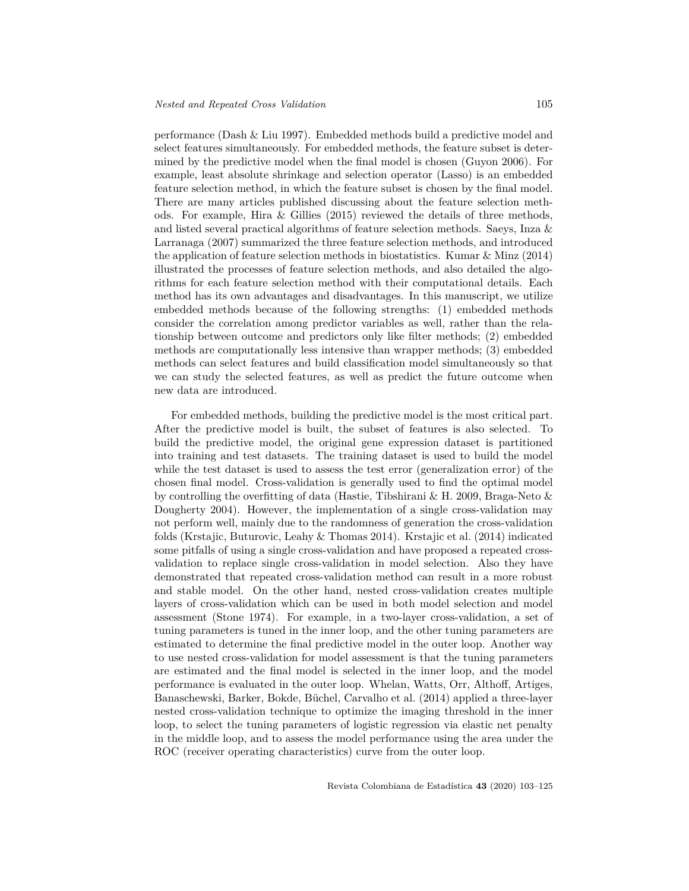performance (Dash & Liu 1997). Embedded methods build a predictive model and select features simultaneously. For embedded methods, the feature subset is determined by the predictive model when the final model is chosen (Guyon 2006). For example, least absolute shrinkage and selection operator (Lasso) is an embedded feature selection method, in which the feature subset is chosen by the final model. There are many articles published discussing about the feature selection methods. For example, Hira & Gillies (2015) reviewed the details of three methods, and listed several practical algorithms of feature selection methods. Saeys, Inza & Larranaga (2007) summarized the three feature selection methods, and introduced the application of feature selection methods in biostatistics. Kumar & Minz (2014) illustrated the processes of feature selection methods, and also detailed the algorithms for each feature selection method with their computational details. Each method has its own advantages and disadvantages. In this manuscript, we utilize embedded methods because of the following strengths: (1) embedded methods consider the correlation among predictor variables as well, rather than the relationship between outcome and predictors only like filter methods; (2) embedded methods are computationally less intensive than wrapper methods; (3) embedded methods can select features and build classification model simultaneously so that we can study the selected features, as well as predict the future outcome when new data are introduced.

For embedded methods, building the predictive model is the most critical part. After the predictive model is built, the subset of features is also selected. To build the predictive model, the original gene expression dataset is partitioned into training and test datasets. The training dataset is used to build the model while the test dataset is used to assess the test error (generalization error) of the chosen final model. Cross-validation is generally used to find the optimal model by controlling the overfitting of data (Hastie, Tibshirani & H. 2009, Braga-Neto & Dougherty 2004). However, the implementation of a single cross-validation may not perform well, mainly due to the randomness of generation the cross-validation folds (Krstajic, Buturovic, Leahy & Thomas 2014). Krstajic et al. (2014) indicated some pitfalls of using a single cross-validation and have proposed a repeated crossvalidation to replace single cross-validation in model selection. Also they have demonstrated that repeated cross-validation method can result in a more robust and stable model. On the other hand, nested cross-validation creates multiple layers of cross-validation which can be used in both model selection and model assessment (Stone 1974). For example, in a two-layer cross-validation, a set of tuning parameters is tuned in the inner loop, and the other tuning parameters are estimated to determine the final predictive model in the outer loop. Another way to use nested cross-validation for model assessment is that the tuning parameters are estimated and the final model is selected in the inner loop, and the model performance is evaluated in the outer loop. Whelan, Watts, Orr, Althoff, Artiges, Banaschewski, Barker, Bokde, Büchel, Carvalho et al. (2014) applied a three-layer nested cross-validation technique to optimize the imaging threshold in the inner loop, to select the tuning parameters of logistic regression via elastic net penalty in the middle loop, and to assess the model performance using the area under the ROC (receiver operating characteristics) curve from the outer loop.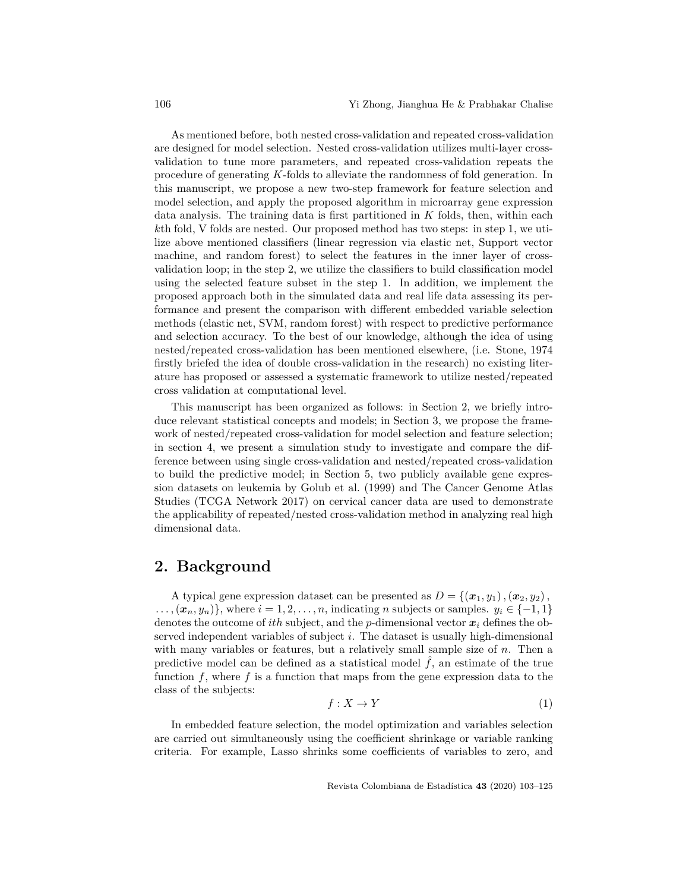As mentioned before, both nested cross-validation and repeated cross-validation are designed for model selection. Nested cross-validation utilizes multi-layer crossvalidation to tune more parameters, and repeated cross-validation repeats the procedure of generating *K*-folds to alleviate the randomness of fold generation. In this manuscript, we propose a new two-step framework for feature selection and model selection, and apply the proposed algorithm in microarray gene expression data analysis. The training data is first partitioned in *K* folds, then, within each *k*th fold, V folds are nested. Our proposed method has two steps: in step 1, we utilize above mentioned classifiers (linear regression via elastic net, Support vector machine, and random forest) to select the features in the inner layer of crossvalidation loop; in the step 2, we utilize the classifiers to build classification model using the selected feature subset in the step 1. In addition, we implement the proposed approach both in the simulated data and real life data assessing its performance and present the comparison with different embedded variable selection methods (elastic net, SVM, random forest) with respect to predictive performance and selection accuracy. To the best of our knowledge, although the idea of using nested/repeated cross-validation has been mentioned elsewhere, (i.e. Stone, 1974 firstly briefed the idea of double cross-validation in the research) no existing literature has proposed or assessed a systematic framework to utilize nested/repeated cross validation at computational level.

This manuscript has been organized as follows: in Section 2, we briefly introduce relevant statistical concepts and models; in Section 3, we propose the framework of nested/repeated cross-validation for model selection and feature selection; in section 4, we present a simulation study to investigate and compare the difference between using single cross-validation and nested/repeated cross-validation to build the predictive model; in Section 5, two publicly available gene expression datasets on leukemia by Golub et al. (1999) and The Cancer Genome Atlas Studies (TCGA Network 2017) on cervical cancer data are used to demonstrate the applicability of repeated/nested cross-validation method in analyzing real high dimensional data.

### **2. Background**

A typical gene expression dataset can be presented as  $D = \{(\boldsymbol{x}_1, y_1), (\boldsymbol{x}_2, y_2),\}$  $\ldots$ ,  $(\mathbf{x}_n, y_n)$ }, where  $i = 1, 2, \ldots, n$ , indicating *n* subjects or samples.  $y_i \in \{-1, 1\}$ denotes the outcome of *ith* subject, and the *p*-dimensional vector  $x_i$  defines the observed independent variables of subject *i*. The dataset is usually high-dimensional with many variables or features, but a relatively small sample size of *n*. Then a predictive model can be defined as a statistical model  $\hat{f}$ , an estimate of the true function *f*, where *f* is a function that maps from the gene expression data to the class of the subjects:

$$
f: X \to Y \tag{1}
$$

In embedded feature selection, the model optimization and variables selection are carried out simultaneously using the coefficient shrinkage or variable ranking criteria. For example, Lasso shrinks some coefficients of variables to zero, and

Revista Colombiana de Estadística **43** (2020) 103–125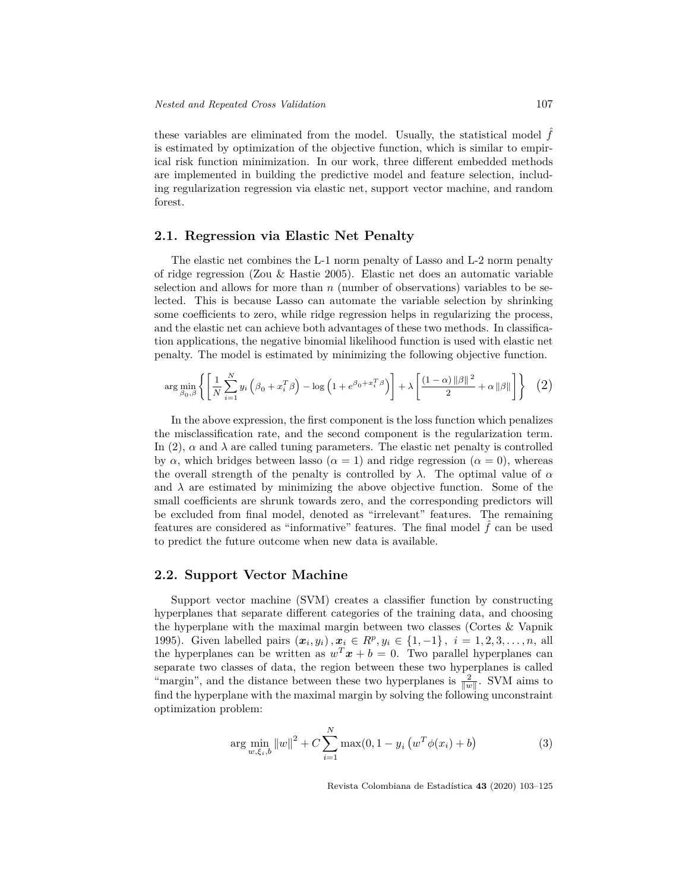these variables are eliminated from the model. Usually, the statistical model  $f$ is estimated by optimization of the objective function, which is similar to empirical risk function minimization. In our work, three different embedded methods are implemented in building the predictive model and feature selection, including regularization regression via elastic net, support vector machine, and random forest.

#### **2.1. Regression via Elastic Net Penalty**

The elastic net combines the L-1 norm penalty of Lasso and L-2 norm penalty of ridge regression (Zou & Hastie 2005). Elastic net does an automatic variable selection and allows for more than *n* (number of observations) variables to be selected. This is because Lasso can automate the variable selection by shrinking some coefficients to zero, while ridge regression helps in regularizing the process, and the elastic net can achieve both advantages of these two methods. In classification applications, the negative binomial likelihood function is used with elastic net penalty. The model is estimated by minimizing the following objective function.

$$
\arg\min_{\beta_0,\beta} \left\{ \left[ \frac{1}{N} \sum_{i=1}^N y_i \left( \beta_0 + x_i^T \beta \right) - \log \left( 1 + e^{\beta_0 + x_i^T \beta} \right) \right] + \lambda \left[ \frac{(1-\alpha) \|\beta\|^2}{2} + \alpha \|\beta\| \right] \right\} (2)
$$

In the above expression, the first component is the loss function which penalizes the misclassification rate, and the second component is the regularization term. In (2),  $\alpha$  and  $\lambda$  are called tuning parameters. The elastic net penalty is controlled by  $\alpha$ , which bridges between lasso ( $\alpha = 1$ ) and ridge regression ( $\alpha = 0$ ), whereas the overall strength of the penalty is controlled by  $\lambda$ . The optimal value of  $\alpha$ and  $\lambda$  are estimated by minimizing the above objective function. Some of the small coefficients are shrunk towards zero, and the corresponding predictors will be excluded from final model, denoted as "irrelevant" features. The remaining features are considered as "informative" features. The final model  $\hat{f}$  can be used to predict the future outcome when new data is available.

### **2.2. Support Vector Machine**

Support vector machine (SVM) creates a classifier function by constructing hyperplanes that separate different categories of the training data, and choosing the hyperplane with the maximal margin between two classes (Cortes & Vapnik 1995). Given labelled pairs  $(x_i, y_i), x_i \in R^p, y_i \in \{1, -1\}, i = 1, 2, 3, ..., n$ , all the hyperplanes can be written as  $w^T x + b = 0$ . Two parallel hyperplanes can separate two classes of data, the region between these two hyperplanes is called "margin", and the distance between these two hyperplanes is  $\frac{2}{\|w\|}$ . SVM aims to find the hyperplane with the maximal margin by solving the following unconstraint optimization problem:

$$
\arg\min_{w,\xi_i,b} \|w\|^2 + C \sum_{i=1}^N \max(0, 1 - y_i \left(w^T \phi(x_i) + b\right)) \tag{3}
$$

Revista Colombiana de Estadística **43** (2020) 103–125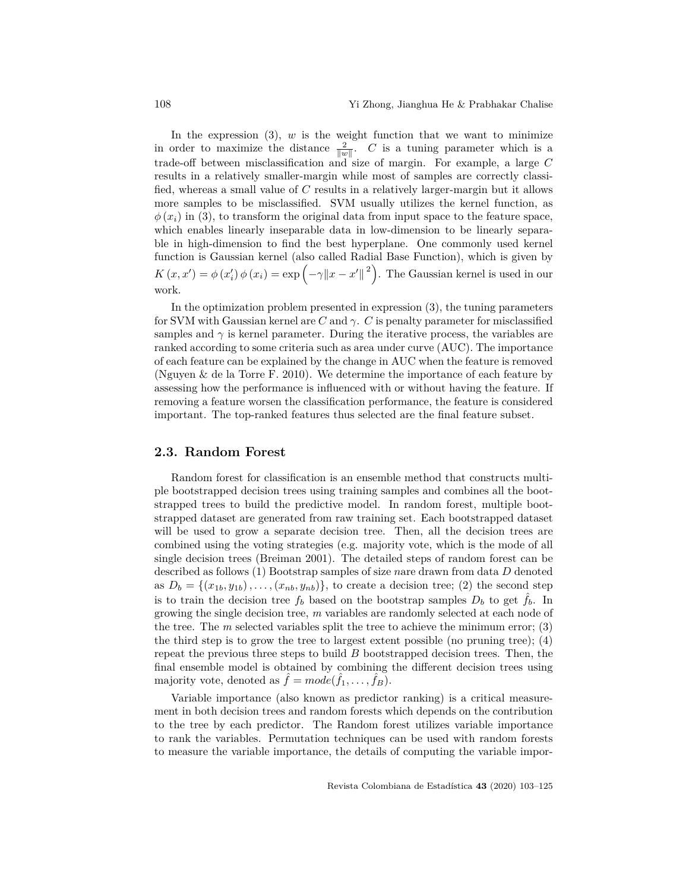In the expression  $(3)$ ,  $w$  is the weight function that we want to minimize in order to maximize the distance  $\frac{2}{\|w\|}$ . *C* is a tuning parameter which is a trade-off between misclassification and size of margin. For example, a large *C* results in a relatively smaller-margin while most of samples are correctly classified, whereas a small value of *C* results in a relatively larger-margin but it allows more samples to be misclassified. SVM usually utilizes the kernel function, as  $\phi(x_i)$  in (3), to transform the original data from input space to the feature space, which enables linearly inseparable data in low-dimension to be linearly separable in high-dimension to find the best hyperplane. One commonly used kernel function is Gaussian kernel (also called Radial Base Function), which is given by  $K(x, x') = \phi(x'_i) \phi(x_i) = \exp(-\gamma ||x - x'||^2)$ . The Gaussian kernel is used in our work.

In the optimization problem presented in expression (3), the tuning parameters for SVM with Gaussian kernel are *C* and *γ*. *C* is penalty parameter for misclassified samples and  $\gamma$  is kernel parameter. During the iterative process, the variables are ranked according to some criteria such as area under curve (AUC). The importance of each feature can be explained by the change in AUC when the feature is removed (Nguyen & de la Torre F. 2010). We determine the importance of each feature by assessing how the performance is influenced with or without having the feature. If removing a feature worsen the classification performance, the feature is considered important. The top-ranked features thus selected are the final feature subset.

#### **2.3. Random Forest**

Random forest for classification is an ensemble method that constructs multiple bootstrapped decision trees using training samples and combines all the bootstrapped trees to build the predictive model. In random forest, multiple bootstrapped dataset are generated from raw training set. Each bootstrapped dataset will be used to grow a separate decision tree. Then, all the decision trees are combined using the voting strategies (e.g. majority vote, which is the mode of all single decision trees (Breiman 2001). The detailed steps of random forest can be described as follows (1) Bootstrap samples of size *n*are drawn from data *D* denoted as  $D_b = \{(x_{1b}, y_{1b}), \ldots, (x_{nb}, y_{nb})\}$ , to create a decision tree; (2) the second step is to train the decision tree  $f_b$  based on the bootstrap samples  $D_b$  to get  $\hat{f}_b$ . In growing the single decision tree, *m* variables are randomly selected at each node of the tree. The *m* selected variables split the tree to achieve the minimum error; (3) the third step is to grow the tree to largest extent possible (no pruning tree); (4) repeat the previous three steps to build *B* bootstrapped decision trees. Then, the final ensemble model is obtained by combining the different decision trees using majority vote, denoted as  $\hat{f} = mode(\hat{f}_1, \dots, \hat{f}_B)$ .

Variable importance (also known as predictor ranking) is a critical measurement in both decision trees and random forests which depends on the contribution to the tree by each predictor. The Random forest utilizes variable importance to rank the variables. Permutation techniques can be used with random forests to measure the variable importance, the details of computing the variable impor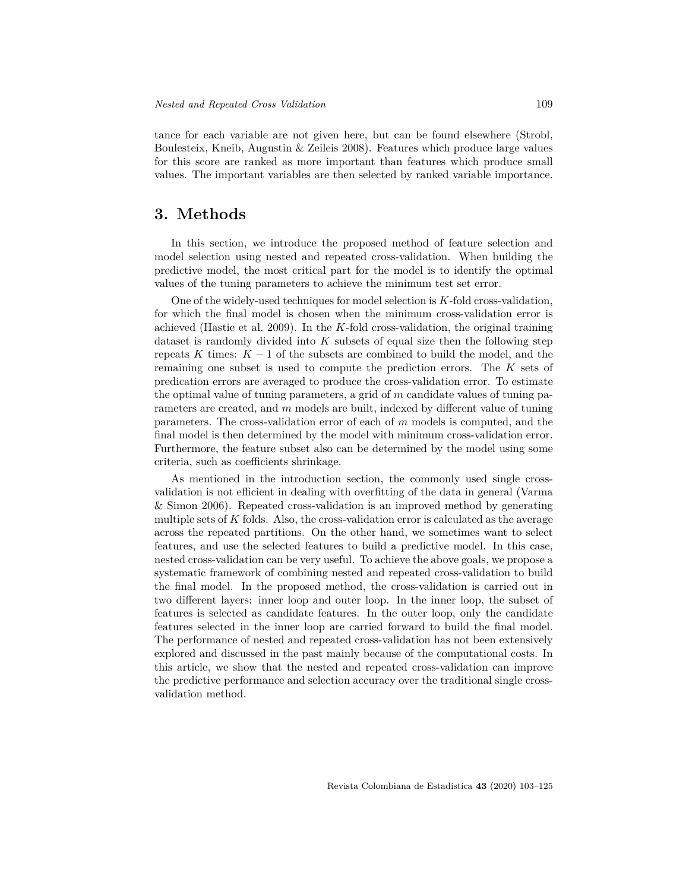tance for each variable are not given here, but can be found elsewhere (Strobl, Boulesteix, Kneib, Augustin & Zeileis 2008). Features which produce large values for this score are ranked as more important than features which produce small values. The important variables are then selected by ranked variable importance.

## **3. Methods**

In this section, we introduce the proposed method of feature selection and model selection using nested and repeated cross-validation. When building the predictive model, the most critical part for the model is to identify the optimal values of the tuning parameters to achieve the minimum test set error.

One of the widely-used techniques for model selection is *K*-fold cross-validation, for which the final model is chosen when the minimum cross-validation error is achieved (Hastie et al. 2009). In the *K*-fold cross-validation, the original training dataset is randomly divided into *K* subsets of equal size then the following step repeats *K* times:  $K-1$  of the subsets are combined to build the model, and the remaining one subset is used to compute the prediction errors. The *K* sets of predication errors are averaged to produce the cross-validation error. To estimate the optimal value of tuning parameters, a grid of *m* candidate values of tuning parameters are created, and *m* models are built, indexed by different value of tuning parameters. The cross-validation error of each of *m* models is computed, and the final model is then determined by the model with minimum cross-validation error. Furthermore, the feature subset also can be determined by the model using some criteria, such as coefficients shrinkage.

As mentioned in the introduction section, the commonly used single crossvalidation is not efficient in dealing with overfitting of the data in general (Varma & Simon 2006). Repeated cross-validation is an improved method by generating multiple sets of *K* folds. Also, the cross-validation error is calculated as the average across the repeated partitions. On the other hand, we sometimes want to select features, and use the selected features to build a predictive model. In this case, nested cross-validation can be very useful. To achieve the above goals, we propose a systematic framework of combining nested and repeated cross-validation to build the final model. In the proposed method, the cross-validation is carried out in two different layers: inner loop and outer loop. In the inner loop, the subset of features is selected as candidate features. In the outer loop, only the candidate features selected in the inner loop are carried forward to build the final model. The performance of nested and repeated cross-validation has not been extensively explored and discussed in the past mainly because of the computational costs. In this article, we show that the nested and repeated cross-validation can improve the predictive performance and selection accuracy over the traditional single crossvalidation method.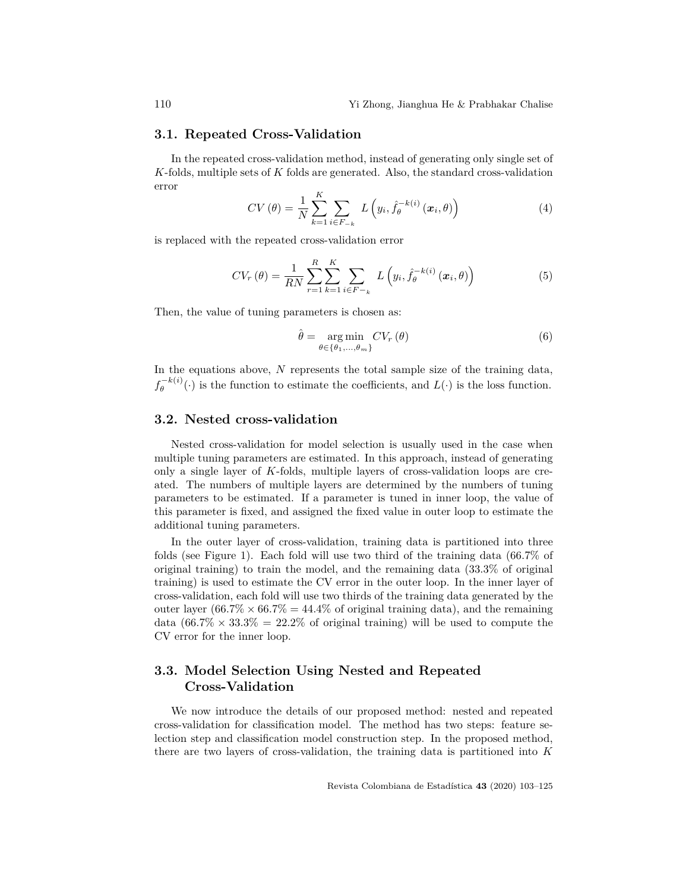#### **3.1. Repeated Cross-Validation**

In the repeated cross-validation method, instead of generating only single set of *K*-folds, multiple sets of *K* folds are generated. Also, the standard cross-validation error *K*

$$
CV(\theta) = \frac{1}{N} \sum_{k=1}^{K} \sum_{i \in F_{-k}} L\left(y_i, \hat{f}_{\theta}^{-k(i)}\left(\boldsymbol{x}_i, \theta\right)\right)
$$
(4)

is replaced with the repeated cross-validation error

$$
CV_r(\theta) = \frac{1}{RN} \sum_{r=1}^{R} \sum_{k=1}^{K} \sum_{i \in F-k} L\left(y_i, \hat{f}_{\theta}^{-k(i)}\left(\boldsymbol{x}_i, \theta\right)\right)
$$
(5)

Then, the value of tuning parameters is chosen as:

$$
\hat{\theta} = \underset{\theta \in \{\theta_1, \dots, \theta_m\}}{\arg \min} CV_r(\theta) \tag{6}
$$

In the equations above, *N* represents the total sample size of the training data,  $f_{\theta}^{-k(i)}$  $\theta_{\theta}^{(-\kappa(\iota))}(\cdot)$  is the function to estimate the coefficients, and  $L(\cdot)$  is the loss function.

#### **3.2. Nested cross-validation**

Nested cross-validation for model selection is usually used in the case when multiple tuning parameters are estimated. In this approach, instead of generating only a single layer of *K*-folds, multiple layers of cross-validation loops are created. The numbers of multiple layers are determined by the numbers of tuning parameters to be estimated. If a parameter is tuned in inner loop, the value of this parameter is fixed, and assigned the fixed value in outer loop to estimate the additional tuning parameters.

In the outer layer of cross-validation, training data is partitioned into three folds (see Figure 1). Each fold will use two third of the training data (66*.*7% of original training) to train the model, and the remaining data (33*.*3% of original training) is used to estimate the CV error in the outer loop. In the inner layer of cross-validation, each fold will use two thirds of the training data generated by the outer layer  $(66.7\% \times 66.7\%) = 44.4\%$  of original training data), and the remaining data  $(66.7\% \times 33.3\% = 22.2\%$  of original training) will be used to compute the CV error for the inner loop.

## **3.3. Model Selection Using Nested and Repeated Cross-Validation**

We now introduce the details of our proposed method: nested and repeated cross-validation for classification model. The method has two steps: feature selection step and classification model construction step. In the proposed method, there are two layers of cross-validation, the training data is partitioned into *K*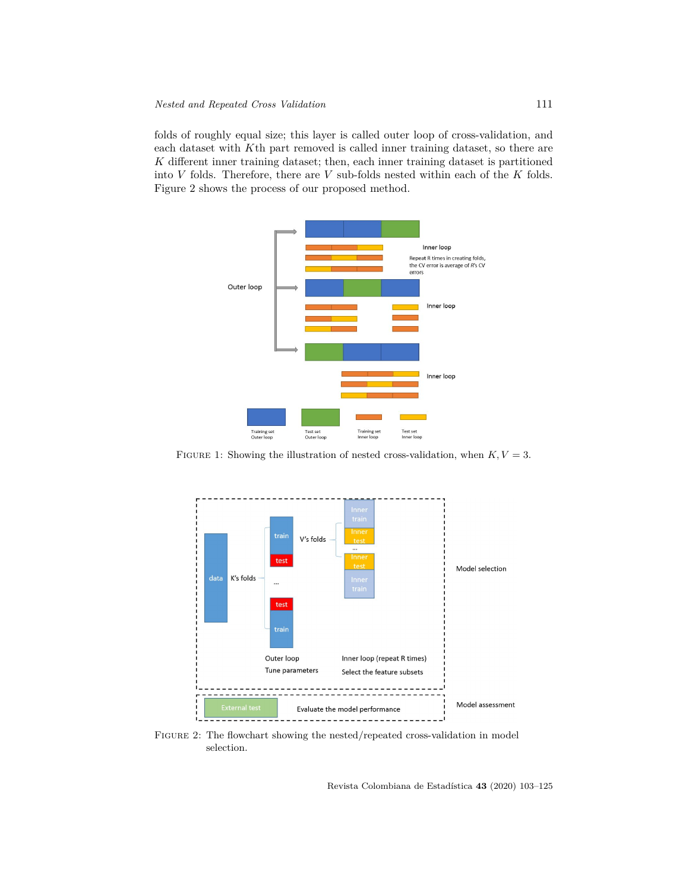folds of roughly equal size; this layer is called outer loop of cross-validation, and each dataset with *K*th part removed is called inner training dataset, so there are *K* different inner training dataset; then, each inner training dataset is partitioned into *V* folds. Therefore, there are *V* sub-folds nested within each of the *K* folds. Figure 2 shows the process of our proposed method.



FIGURE 1: Showing the illustration of nested cross-validation, when  $K, V = 3$ .



Figure 2: The flowchart showing the nested/repeated cross-validation in model selection.

Revista Colombiana de Estadística **43** (2020) 103–125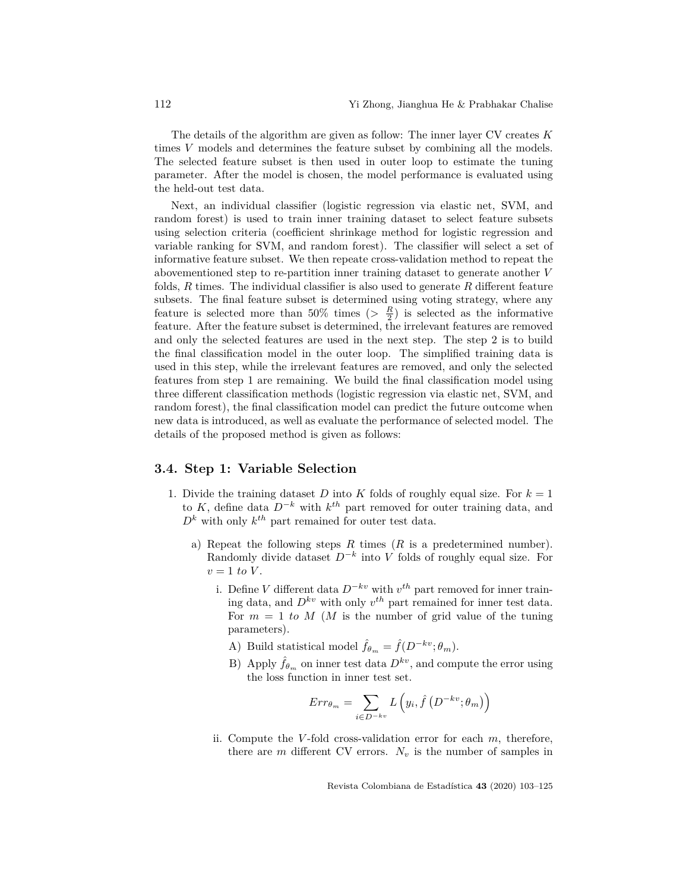The details of the algorithm are given as follow: The inner layer CV creates *K* times *V* models and determines the feature subset by combining all the models. The selected feature subset is then used in outer loop to estimate the tuning parameter. After the model is chosen, the model performance is evaluated using the held-out test data.

Next, an individual classifier (logistic regression via elastic net, SVM, and random forest) is used to train inner training dataset to select feature subsets using selection criteria (coefficient shrinkage method for logistic regression and variable ranking for SVM, and random forest). The classifier will select a set of informative feature subset. We then repeate cross-validation method to repeat the abovementioned step to re-partition inner training dataset to generate another *V* folds, *R* times. The individual classifier is also used to generate *R* different feature subsets. The final feature subset is determined using voting strategy, where any feature is selected more than 50% times ( $>\frac{R}{2}$ ) is selected as the informative feature. After the feature subset is determined, the irrelevant features are removed and only the selected features are used in the next step. The step 2 is to build the final classification model in the outer loop. The simplified training data is used in this step, while the irrelevant features are removed, and only the selected features from step 1 are remaining. We build the final classification model using three different classification methods (logistic regression via elastic net, SVM, and random forest), the final classification model can predict the future outcome when new data is introduced, as well as evaluate the performance of selected model. The details of the proposed method is given as follows:

#### **3.4. Step 1: Variable Selection**

- 1. Divide the training dataset  $D$  into  $K$  folds of roughly equal size. For  $k = 1$ to *K*, define data *D−<sup>k</sup>* with *k th* part removed for outer training data, and  $D<sup>k</sup>$  with only  $k<sup>th</sup>$  part remained for outer test data.
	- a) Repeat the following steps *R* times (*R* is a predetermined number). Randomly divide dataset *D−<sup>k</sup>* into *V* folds of roughly equal size. For  $v = 1$  *to V*.
		- i. Define *V* different data *D−kv* with *v th* part removed for inner training data, and  $D^{kv}$  with only  $v^{th}$  part remained for inner test data. For  $m = 1$  to M (M is the number of grid value of the tuning parameters).
			- A) Build statistical model  $\hat{f}_{\theta_m} = \hat{f}(D^{-kv}; \theta_m)$ .
			- B) Apply  $\hat{f}_{\theta_m}$  on inner test data  $D^{kv}$ , and compute the error using the loss function in inner test set.

$$
Err_{\theta_m} = \sum_{i \in D^{-kv}} L\left(y_i, \hat{f}\left(D^{-kv}; \theta_m\right)\right)
$$

ii. Compute the *V* -fold cross-validation error for each *m*, therefore, there are  $m$  different CV errors.  $N_v$  is the number of samples in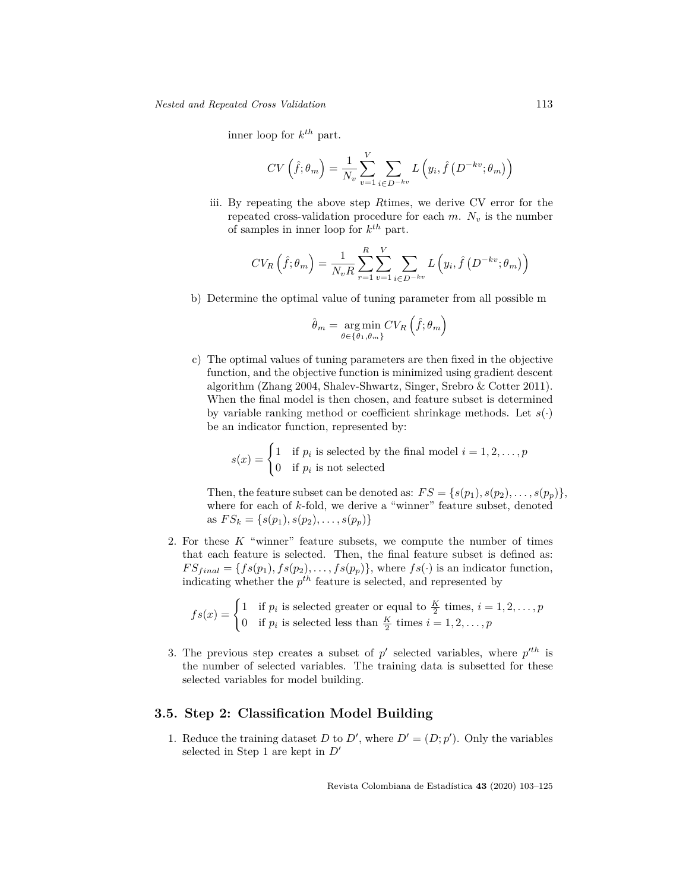inner loop for *k th* part.

$$
CV\left(\hat{f}; \theta_m\right) = \frac{1}{N_v} \sum_{v=1}^{V} \sum_{i \in D^{-kv}} L\left(y_i, \hat{f}\left(D^{-kv}; \theta_m\right)\right)
$$

iii. By repeating the above step *R*times, we derive CV error for the repeated cross-validation procedure for each  $m$ .  $N_v$  is the number of samples in inner loop for *k th* part.

$$
CV_R\left(\hat{f};\theta_m\right) = \frac{1}{N_v R} \sum_{r=1}^{R} \sum_{v=1}^{V} \sum_{i \in D^{-kv}} L\left(y_i, \hat{f}\left(D^{-kv};\theta_m\right)\right)
$$

b) Determine the optimal value of tuning parameter from all possible m

$$
\hat{\theta}_m = \underset{\theta \in \{\theta_1, \theta_m\}}{\arg \min} CV_R \left( \hat{f}; \theta_m \right)
$$

c) The optimal values of tuning parameters are then fixed in the objective function, and the objective function is minimized using gradient descent algorithm (Zhang 2004, Shalev-Shwartz, Singer, Srebro & Cotter 2011). When the final model is then chosen, and feature subset is determined by variable ranking method or coefficient shrinkage methods. Let  $s(\cdot)$ be an indicator function, represented by:

$$
s(x) = \begin{cases} 1 & \text{if } p_i \text{ is selected by the final model } i = 1, 2, \dots, p \\ 0 & \text{if } p_i \text{ is not selected} \end{cases}
$$

Then, the feature subset can be denoted as:  $FS = \{s(p_1), s(p_2), \ldots, s(p_p)\},\$ where for each of *k*-fold, we derive a "winner" feature subset, denoted as  $FS_k = \{s(p_1), s(p_2), \ldots, s(p_p)\}\$ 

2. For these *K* "winner" feature subsets, we compute the number of times that each feature is selected. Then, the final feature subset is defined as:  $FS_{final} = \{fs(p_1), fs(p_2), \ldots, fs(p_p)\}\$ , where  $fs(\cdot)$  is an indicator function, indicating whether the  $p^{th}$  feature is selected, and represented by

$$
fs(x) = \begin{cases} 1 & \text{if } p_i \text{ is selected greater or equal to } \frac{K}{2} \text{ times, } i = 1, 2, \dots, p \\ 0 & \text{if } p_i \text{ is selected less than } \frac{K}{2} \text{ times } i = 1, 2, \dots, p \end{cases}
$$

3. The previous step creates a subset of  $p'$  selected variables, where  $p'^{th}$  is the number of selected variables. The training data is subsetted for these selected variables for model building.

### **3.5. Step 2: Classification Model Building**

1. Reduce the training dataset *D* to *D'*, where  $D' = (D; p')$ . Only the variables selected in Step 1 are kept in *D′*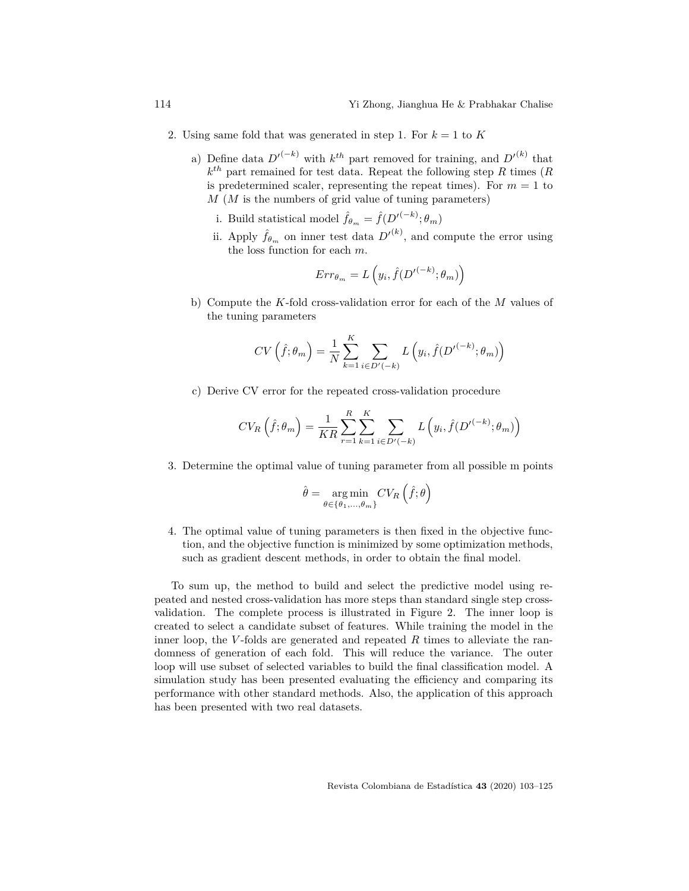- 2. Using same fold that was generated in step 1. For  $k = 1$  to  $K$ 
	- a) Define data  $D'^{(-k)}$  with  $k^{th}$  part removed for training, and  $D'^{(k)}$  that *k th* part remained for test data. Repeat the following step *R* times (*R* is predetermined scaler, representing the repeat times). For  $m = 1$  to *M* (*M* is the numbers of grid value of tuning parameters)
		- i. Build statistical model  $\hat{f}_{\theta_m} = \hat{f}(D'^{(-k)}; \theta_m)$
		- ii. Apply  $\hat{f}_{\theta_m}$  on inner test data  $D^{\prime(k)}$ , and compute the error using the loss function for each *m*.

$$
Err_{\theta_m} = L\left(y_i, \hat{f}(D'^{(-k)}; \theta_m)\right)
$$

b) Compute the *K*-fold cross-validation error for each of the *M* values of the tuning parameters

$$
CV\left(\hat{f};\theta_m\right) = \frac{1}{N} \sum_{k=1}^{K} \sum_{i \in D'(-k)} L\left(y_i, \hat{f}(D'^{(-k)}; \theta_m)\right)
$$

c) Derive CV error for the repeated cross-validation procedure

$$
CV_R\left(\hat{f}; \theta_m\right) = \frac{1}{KR} \sum_{r=1}^{R} \sum_{k=1}^{K} \sum_{i \in D'(-k)} L\left(y_i, \hat{f}(D'^{(-k)}; \theta_m)\right)
$$

3. Determine the optimal value of tuning parameter from all possible m points

$$
\hat{\theta} = \underset{\theta \in \{\theta_1, \dots, \theta_m\}}{\arg \min} CV_R \left( \hat{f}; \theta \right)
$$

4. The optimal value of tuning parameters is then fixed in the objective function, and the objective function is minimized by some optimization methods, such as gradient descent methods, in order to obtain the final model.

To sum up, the method to build and select the predictive model using repeated and nested cross-validation has more steps than standard single step crossvalidation. The complete process is illustrated in Figure 2. The inner loop is created to select a candidate subset of features. While training the model in the inner loop, the *V* -folds are generated and repeated *R* times to alleviate the randomness of generation of each fold. This will reduce the variance. The outer loop will use subset of selected variables to build the final classification model. A simulation study has been presented evaluating the efficiency and comparing its performance with other standard methods. Also, the application of this approach has been presented with two real datasets.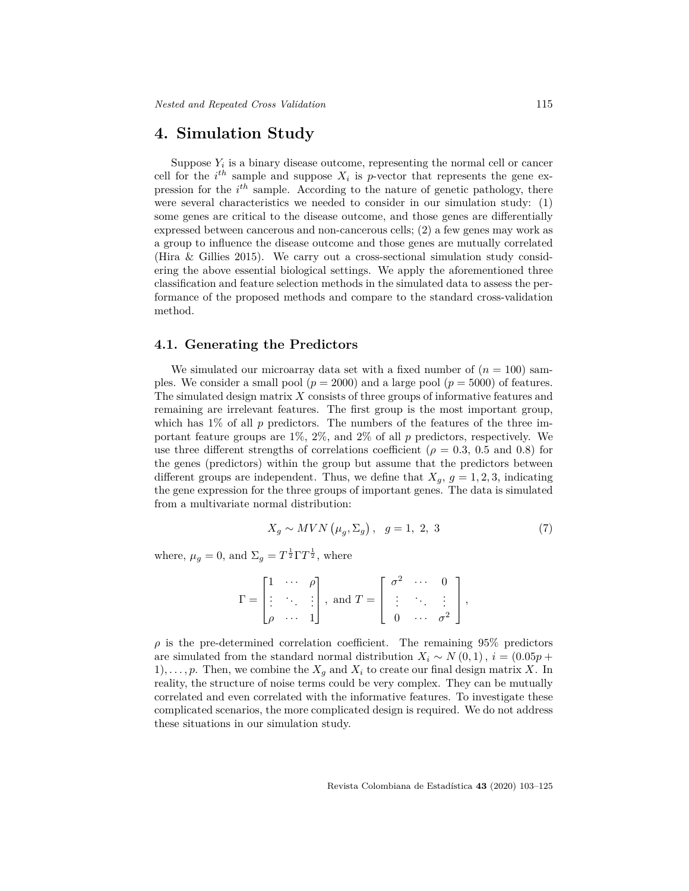### **4. Simulation Study**

Suppose  $Y_i$  is a binary disease outcome, representing the normal cell or cancer cell for the  $i^{th}$  sample and suppose  $X_i$  is *p*-vector that represents the gene expression for the *i th* sample. According to the nature of genetic pathology, there were several characteristics we needed to consider in our simulation study: (1) some genes are critical to the disease outcome, and those genes are differentially expressed between cancerous and non-cancerous cells; (2) a few genes may work as a group to influence the disease outcome and those genes are mutually correlated (Hira & Gillies 2015). We carry out a cross-sectional simulation study considering the above essential biological settings. We apply the aforementioned three classification and feature selection methods in the simulated data to assess the performance of the proposed methods and compare to the standard cross-validation method.

#### **4.1. Generating the Predictors**

We simulated our microarray data set with a fixed number of  $(n = 100)$  samples. We consider a small pool  $(p = 2000)$  and a large pool  $(p = 5000)$  of features. The simulated design matrix *X* consists of three groups of informative features and remaining are irrelevant features. The first group is the most important group, which has  $1\%$  of all p predictors. The numbers of the features of the three important feature groups are 1%, 2%, and 2% of all *p* predictors, respectively. We use three different strengths of correlations coefficient ( $\rho = 0.3, 0.5$  and 0.8) for the genes (predictors) within the group but assume that the predictors between different groups are independent. Thus, we define that  $X_q$ ,  $q = 1, 2, 3$ , indicating the gene expression for the three groups of important genes. The data is simulated from a multivariate normal distribution:

$$
X_g \sim MVN\left(\mu_g, \Sigma_g\right), \quad g = 1, 2, 3 \tag{7}
$$

where,  $\mu_g = 0$ , and  $\Sigma_g = T^{\frac{1}{2}} \Gamma T^{\frac{1}{2}}$ , where

$$
\Gamma = \begin{bmatrix} 1 & \cdots & \rho \\ \vdots & \ddots & \vdots \\ \rho & \cdots & 1 \end{bmatrix}, \text{ and } T = \begin{bmatrix} \sigma^2 & \cdots & 0 \\ \vdots & \ddots & \vdots \\ 0 & \cdots & \sigma^2 \end{bmatrix},
$$

 $\rho$  is the pre-determined correlation coefficient. The remaining 95% predictors are simulated from the standard normal distribution  $X_i \sim N(0,1)$ ,  $i = (0.05p +$ 1),  $\ldots$ , p. Then, we combine the  $X_q$  and  $X_i$  to create our final design matrix X. In reality, the structure of noise terms could be very complex. They can be mutually correlated and even correlated with the informative features. To investigate these complicated scenarios, the more complicated design is required. We do not address these situations in our simulation study.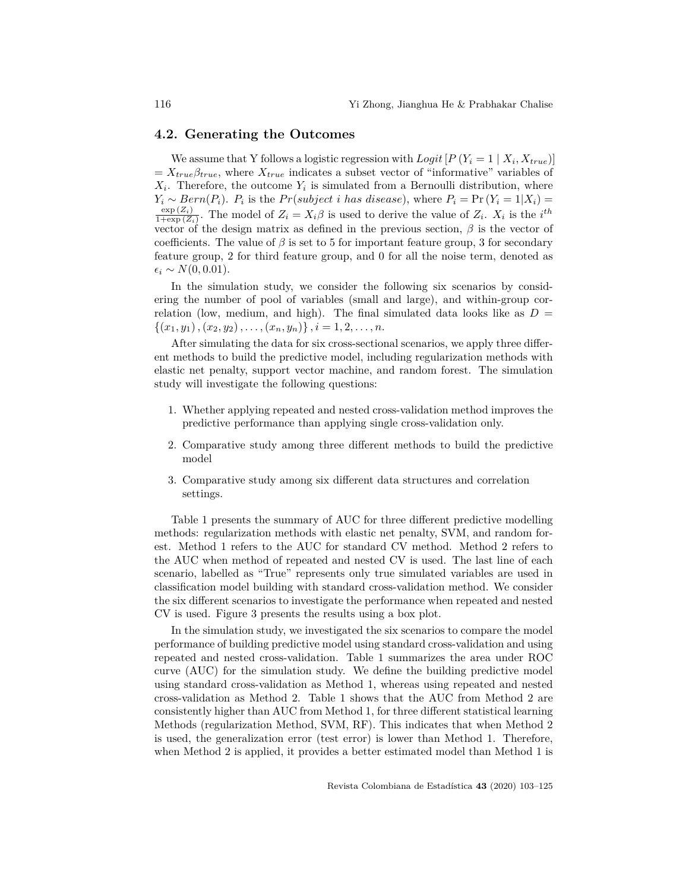#### **4.2. Generating the Outcomes**

We assume that Y follows a logistic regression with  $Logit[P(Y_i = 1 | X_i, X_{true})]$  $= X_{true} \beta_{true}$ , where  $X_{true}$  indicates a subset vector of "informative" variables of  $X_i$ . Therefore, the outcome  $Y_i$  is simulated from a Bernoulli distribution, where  $Y_i \sim Bern(P_i)$ .  $P_i$  is the  $Pr(subject\ i\ has\ disease)$ , where  $P_i = Pr(Y_i = 1 | X_i)$  $\exp{(Z_i)}$  $\frac{\exp(Z_i)}{1+\exp(Z_i)}$ . The model of  $Z_i = X_i\beta$  is used to derive the value of  $Z_i$ .  $X_i$  is the *i*<sup>th</sup> vector of the design matrix as defined in the previous section, *β* is the vector of coefficients. The value of  $\beta$  is set to 5 for important feature group, 3 for secondary feature group, 2 for third feature group, and 0 for all the noise term, denoted as  $\epsilon_i \sim N(0, 0.01).$ 

In the simulation study, we consider the following six scenarios by considering the number of pool of variables (small and large), and within-group correlation (low, medium, and high). The final simulated data looks like as  $D =$  ${(x_1, y_1), (x_2, y_2), \ldots, (x_n, y_n)}$ ,  $i = 1, 2, \ldots, n$ .

After simulating the data for six cross-sectional scenarios, we apply three different methods to build the predictive model, including regularization methods with elastic net penalty, support vector machine, and random forest. The simulation study will investigate the following questions:

- 1. Whether applying repeated and nested cross-validation method improves the predictive performance than applying single cross-validation only.
- 2. Comparative study among three different methods to build the predictive model
- 3. Comparative study among six different data structures and correlation settings.

Table 1 presents the summary of AUC for three different predictive modelling methods: regularization methods with elastic net penalty, SVM, and random forest. Method 1 refers to the AUC for standard CV method. Method 2 refers to the AUC when method of repeated and nested CV is used. The last line of each scenario, labelled as "True" represents only true simulated variables are used in classification model building with standard cross-validation method. We consider the six different scenarios to investigate the performance when repeated and nested CV is used. Figure 3 presents the results using a box plot.

In the simulation study, we investigated the six scenarios to compare the model performance of building predictive model using standard cross-validation and using repeated and nested cross-validation. Table 1 summarizes the area under ROC curve (AUC) for the simulation study. We define the building predictive model using standard cross-validation as Method 1, whereas using repeated and nested cross-validation as Method 2. Table 1 shows that the AUC from Method 2 are consistently higher than AUC from Method 1, for three different statistical learning Methods (regularization Method, SVM, RF). This indicates that when Method 2 is used, the generalization error (test error) is lower than Method 1. Therefore, when Method 2 is applied, it provides a better estimated model than Method 1 is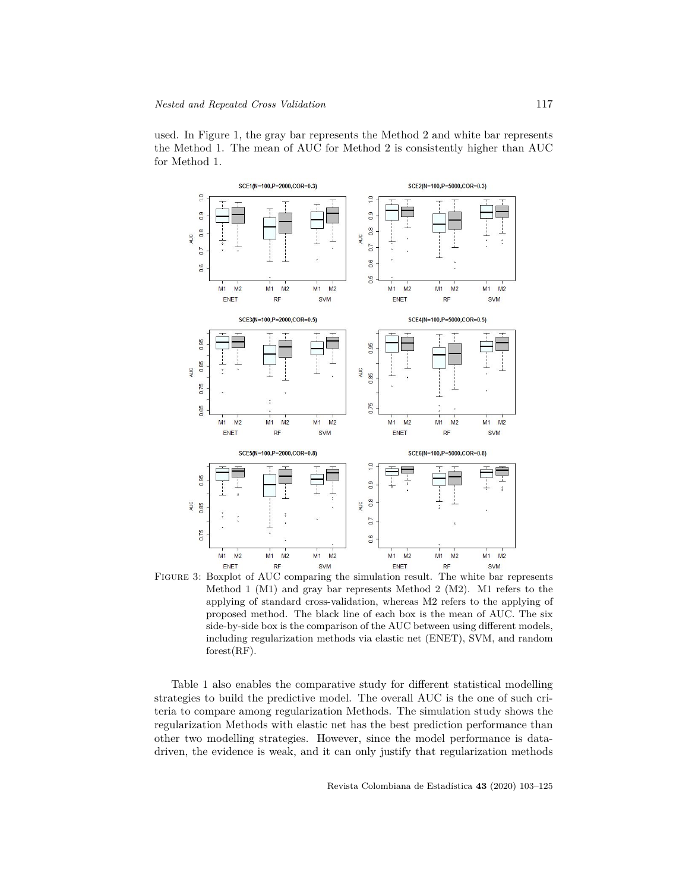



Figure 3: Boxplot of AUC comparing the simulation result. The white bar represents Method 1 (M1) and gray bar represents Method 2 (M2). M1 refers to the applying of standard cross-validation, whereas M2 refers to the applying of proposed method. The black line of each box is the mean of AUC. The six side-by-side box is the comparison of the AUC between using different models, including regularization methods via elastic net (ENET), SVM, and random forest(RF).

Table 1 also enables the comparative study for different statistical modelling strategies to build the predictive model. The overall AUC is the one of such criteria to compare among regularization Methods. The simulation study shows the regularization Methods with elastic net has the best prediction performance than other two modelling strategies. However, since the model performance is datadriven, the evidence is weak, and it can only justify that regularization methods

Revista Colombiana de Estadística **43** (2020) 103–125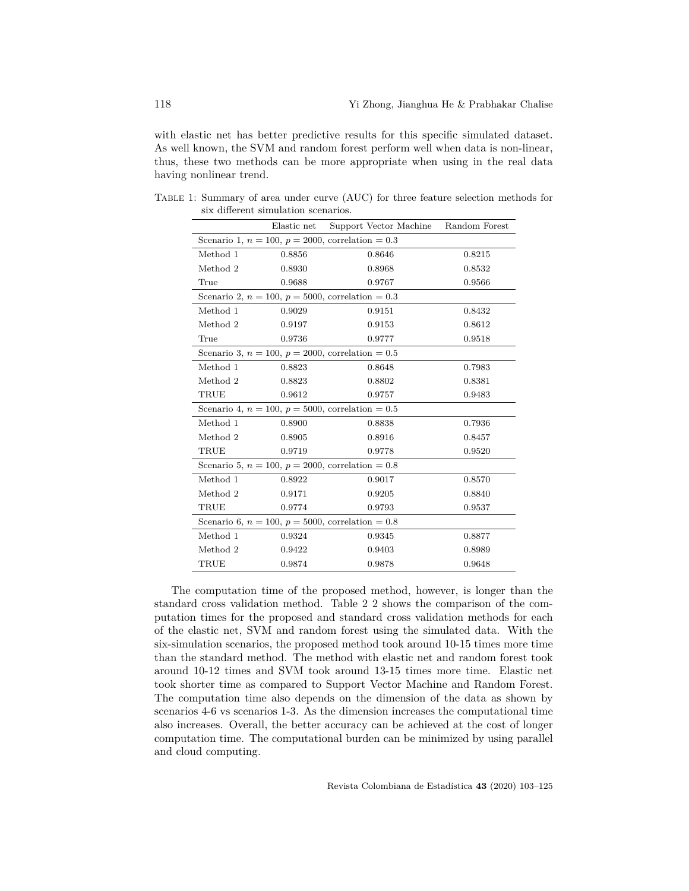with elastic net has better predictive results for this specific simulated dataset. As well known, the SVM and random forest perform well when data is non-linear, thus, these two methods can be more appropriate when using in the real data having nonlinear trend.

|                                                        | Elastic net      | Support Vector Machine Random Forest                   |        |  |  |  |
|--------------------------------------------------------|------------------|--------------------------------------------------------|--------|--|--|--|
| Scenario 1, $n = 100$ , $p = 2000$ , correlation = 0.3 |                  |                                                        |        |  |  |  |
| Method 1                                               | 0.8856           | 0.8646                                                 | 0.8215 |  |  |  |
| Method 2                                               | 0.8930           | 0.8968                                                 | 0.8532 |  |  |  |
| True                                                   | 0.9688           | 0.9767                                                 | 0.9566 |  |  |  |
|                                                        |                  | Scenario 2, $n = 100$ , $p = 5000$ , correlation = 0.3 |        |  |  |  |
| Method 1                                               | 0.9029           | 0.9151                                                 | 0.8432 |  |  |  |
| Method 2                                               | 0.9197           | 0.9153                                                 | 0.8612 |  |  |  |
| True                                                   | 0.9736           | 0.9777                                                 | 0.9518 |  |  |  |
|                                                        |                  | Scenario 3, $n = 100$ , $p = 2000$ , correlation = 0.5 |        |  |  |  |
| Method 1                                               | 0.8823<br>0.8648 |                                                        | 0.7983 |  |  |  |
| Method 2                                               | 0.8823           | 0.8802                                                 | 0.8381 |  |  |  |
| TRUE                                                   | 0.9612           | 0.9757                                                 | 0.9483 |  |  |  |
| Scenario 4, $n = 100$ , $p = 5000$ , correlation = 0.5 |                  |                                                        |        |  |  |  |
| Method 1                                               | 0.8900           | 0.8838                                                 | 0.7936 |  |  |  |
| Method 2                                               | 0.8905           | 0.8916                                                 | 0.8457 |  |  |  |
| TRUE                                                   | 0.9719           | 0.9778                                                 | 0.9520 |  |  |  |
| Scenario 5, $n = 100$ , $p = 2000$ , correlation = 0.8 |                  |                                                        |        |  |  |  |
| Method 1                                               | 0.8922           | 0.9017                                                 | 0.8570 |  |  |  |
| Method 2                                               | 0.9171           | 0.9205                                                 | 0.8840 |  |  |  |
| TRUE                                                   | 0.9774           | 0.9793                                                 | 0.9537 |  |  |  |
| Scenario 6, $n = 100$ , $p = 5000$ , correlation = 0.8 |                  |                                                        |        |  |  |  |
| Method 1                                               | 0.9324           | 0.9345                                                 | 0.8877 |  |  |  |
| Method 2                                               | 0.9422           | 0.9403                                                 | 0.8989 |  |  |  |
| TRUE                                                   | 0.9874           | 0.9878                                                 | 0.9648 |  |  |  |

Table 1: Summary of area under curve (AUC) for three feature selection methods for six different simulation scenarios.

The computation time of the proposed method, however, is longer than the standard cross validation method. Table 2 2 shows the comparison of the computation times for the proposed and standard cross validation methods for each of the elastic net, SVM and random forest using the simulated data. With the six-simulation scenarios, the proposed method took around 10-15 times more time than the standard method. The method with elastic net and random forest took around 10-12 times and SVM took around 13-15 times more time. Elastic net took shorter time as compared to Support Vector Machine and Random Forest. The computation time also depends on the dimension of the data as shown by scenarios 4-6 vs scenarios 1-3. As the dimension increases the computational time also increases. Overall, the better accuracy can be achieved at the cost of longer computation time. The computational burden can be minimized by using parallel and cloud computing.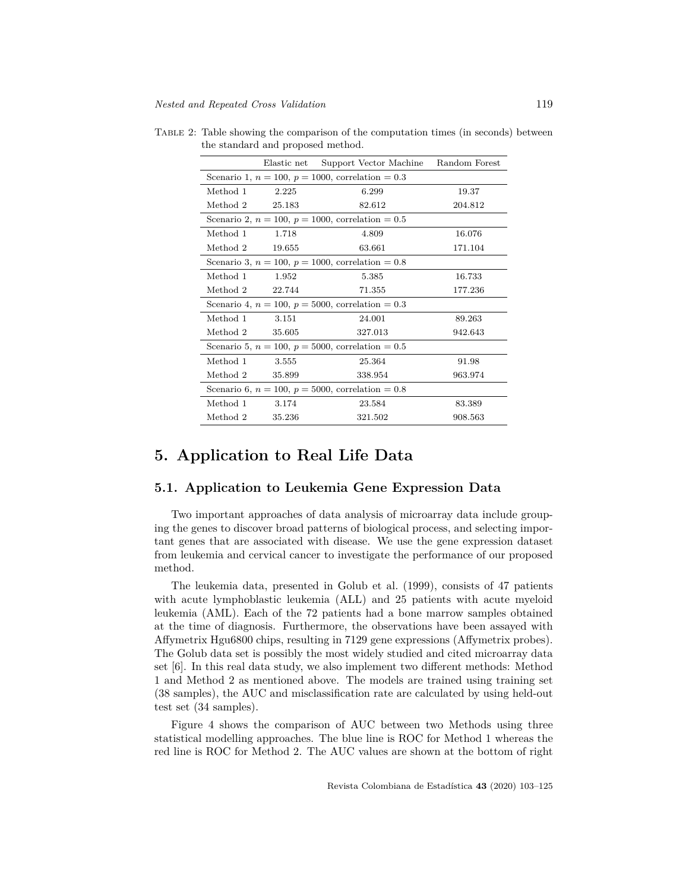|                                                        |                           | Elastic net Support Vector Machine Random Forest       |         |  |  |  |
|--------------------------------------------------------|---------------------------|--------------------------------------------------------|---------|--|--|--|
| Scenario 1, $n = 100$ , $p = 1000$ , correlation = 0.3 |                           |                                                        |         |  |  |  |
| Method 1                                               | 2.225<br>6.299            |                                                        | 19.37   |  |  |  |
| Method 2 25.183                                        |                           | 82.612                                                 | 204.812 |  |  |  |
|                                                        |                           | Scenario 2, $n = 100$ , $p = 1000$ , correlation = 0.5 |         |  |  |  |
| Method 1                                               | 1.718                     | 4.809                                                  | 16.076  |  |  |  |
| Method 2 19.655                                        |                           | 63.661                                                 | 171.104 |  |  |  |
|                                                        |                           | Scenario 3, $n = 100$ , $p = 1000$ , correlation = 0.8 |         |  |  |  |
| Method 1                                               | 1.952                     | 5.385                                                  | 16.733  |  |  |  |
|                                                        | Method 2 22.744<br>71.355 |                                                        | 177.236 |  |  |  |
|                                                        |                           | Scenario 4, $n = 100$ , $p = 5000$ , correlation = 0.3 |         |  |  |  |
| $Method 1$ $3.151$                                     |                           | 24.001                                                 | 89.263  |  |  |  |
| Method 2 35.605                                        |                           | 327.013                                                | 942.643 |  |  |  |
| Scenario 5, $n = 100$ , $p = 5000$ , correlation = 0.5 |                           |                                                        |         |  |  |  |
| Method 1                                               | 3.555                     | 25.364                                                 | 91.98   |  |  |  |
| Method 2 35.899                                        |                           | 338.954                                                | 963.974 |  |  |  |
| Scenario 6, $n = 100$ , $p = 5000$ , correlation = 0.8 |                           |                                                        |         |  |  |  |
| Method 1                                               | 3.174                     | 23.584                                                 | 83.389  |  |  |  |
| Method 2 35.236                                        |                           | 321.502                                                | 908.563 |  |  |  |

Table 2: Table showing the comparison of the computation times (in seconds) between the standard and proposed method.

## **5. Application to Real Life Data**

### **5.1. Application to Leukemia Gene Expression Data**

Two important approaches of data analysis of microarray data include grouping the genes to discover broad patterns of biological process, and selecting important genes that are associated with disease. We use the gene expression dataset from leukemia and cervical cancer to investigate the performance of our proposed method.

The leukemia data, presented in Golub et al. (1999), consists of 47 patients with acute lymphoblastic leukemia (ALL) and 25 patients with acute myeloid leukemia (AML). Each of the 72 patients had a bone marrow samples obtained at the time of diagnosis. Furthermore, the observations have been assayed with Affymetrix Hgu6800 chips, resulting in 7129 gene expressions (Affymetrix probes). The Golub data set is possibly the most widely studied and cited microarray data set [6]. In this real data study, we also implement two different methods: Method 1 and Method 2 as mentioned above. The models are trained using training set (38 samples), the AUC and misclassification rate are calculated by using held-out test set (34 samples).

Figure 4 shows the comparison of AUC between two Methods using three statistical modelling approaches. The blue line is ROC for Method 1 whereas the red line is ROC for Method 2. The AUC values are shown at the bottom of right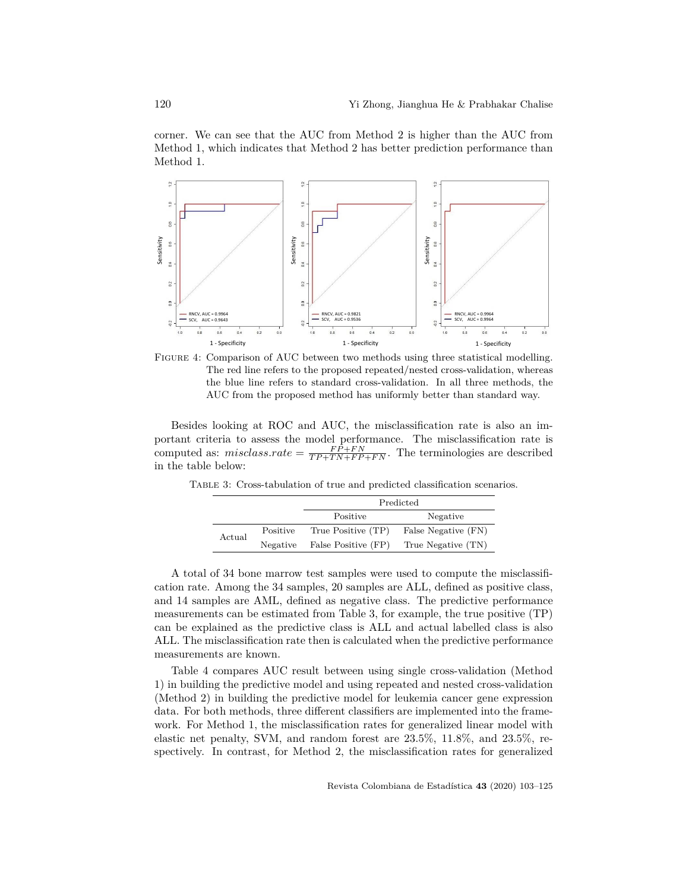corner. We can see that the AUC from Method 2 is higher than the AUC from Method 1, which indicates that Method 2 has better prediction performance than Method 1.



Figure 4: Comparison of AUC between two methods using three statistical modelling. The red line refers to the proposed repeated/nested cross-validation, whereas the blue line refers to standard cross-validation. In all three methods, the AUC from the proposed method has uniformly better than standard way.

Besides looking at ROC and AUC, the misclassification rate is also an important criteria to assess the model performance. The misclassification rate is computed as:  $misclass rate = \frac{FP + FN}{TP + TN + FP + FN}$ . The terminologies are described in the table below:

Table 3: Cross-tabulation of true and predicted classification scenarios.

|        |          | Predicted           |                     |  |
|--------|----------|---------------------|---------------------|--|
|        |          | Positive            | Negative            |  |
| Actual | Positive | True Positive (TP)  | False Negative (FN) |  |
|        | Negative | False Positive (FP) | True Negative (TN)  |  |

A total of 34 bone marrow test samples were used to compute the misclassification rate. Among the 34 samples, 20 samples are ALL, defined as positive class, and 14 samples are AML, defined as negative class. The predictive performance measurements can be estimated from Table 3, for example, the true positive (TP) can be explained as the predictive class is ALL and actual labelled class is also ALL. The misclassification rate then is calculated when the predictive performance measurements are known.

Table 4 compares AUC result between using single cross-validation (Method 1) in building the predictive model and using repeated and nested cross-validation (Method 2) in building the predictive model for leukemia cancer gene expression data. For both methods, three different classifiers are implemented into the framework. For Method 1, the misclassification rates for generalized linear model with elastic net penalty, SVM, and random forest are 23.5%, 11.8%, and 23.5%, respectively. In contrast, for Method 2, the misclassification rates for generalized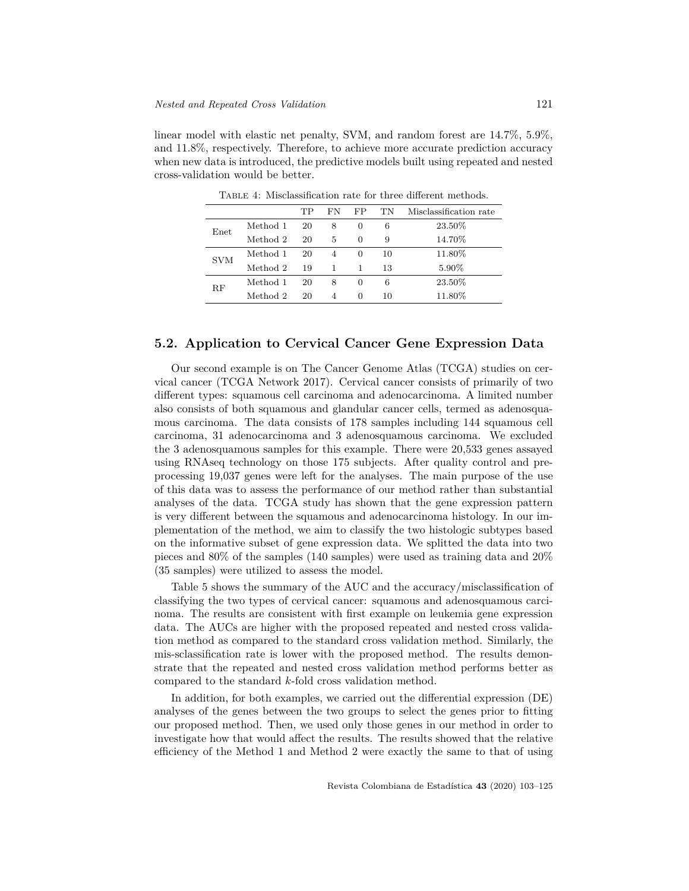linear model with elastic net penalty, SVM, and random forest are 14.7%, 5.9%, and 11.8%, respectively. Therefore, to achieve more accurate prediction accuracy when new data is introduced, the predictive models built using repeated and nested cross-validation would be better.

|             |          | TP | FN | FP       | ТN | Misclassification rate |
|-------------|----------|----|----|----------|----|------------------------|
| Enet        | Method 1 | 20 | 8  | $\theta$ | 6  | 23.50%                 |
|             | Method 2 | 20 | 5  | 0        | 9  | 14.70%                 |
| <b>SVM</b>  | Method 1 | 20 | 4  | $\theta$ | 10 | 11.80%                 |
|             | Method 2 | 19 |    |          | 13 | 5.90%                  |
| $_{\rm RF}$ | Method 1 | 20 | 8  | 0        | 6  | 23.50%                 |
|             | Method 2 | 20 | 4  | 0        | 10 | 11.80%                 |

Table 4: Misclassification rate for three different methods.

### **5.2. Application to Cervical Cancer Gene Expression Data**

Our second example is on The Cancer Genome Atlas (TCGA) studies on cervical cancer (TCGA Network 2017). Cervical cancer consists of primarily of two different types: squamous cell carcinoma and adenocarcinoma. A limited number also consists of both squamous and glandular cancer cells, termed as adenosquamous carcinoma. The data consists of 178 samples including 144 squamous cell carcinoma, 31 adenocarcinoma and 3 adenosquamous carcinoma. We excluded the 3 adenosquamous samples for this example. There were 20,533 genes assayed using RNAseq technology on those 175 subjects. After quality control and preprocessing 19,037 genes were left for the analyses. The main purpose of the use of this data was to assess the performance of our method rather than substantial analyses of the data. TCGA study has shown that the gene expression pattern is very different between the squamous and adenocarcinoma histology. In our implementation of the method, we aim to classify the two histologic subtypes based on the informative subset of gene expression data. We splitted the data into two pieces and 80% of the samples (140 samples) were used as training data and 20% (35 samples) were utilized to assess the model.

Table 5 shows the summary of the AUC and the accuracy/misclassification of classifying the two types of cervical cancer: squamous and adenosquamous carcinoma. The results are consistent with first example on leukemia gene expression data. The AUCs are higher with the proposed repeated and nested cross validation method as compared to the standard cross validation method. Similarly, the mis-sclassification rate is lower with the proposed method. The results demonstrate that the repeated and nested cross validation method performs better as compared to the standard *k*-fold cross validation method.

In addition, for both examples, we carried out the differential expression (DE) analyses of the genes between the two groups to select the genes prior to fitting our proposed method. Then, we used only those genes in our method in order to investigate how that would affect the results. The results showed that the relative efficiency of the Method 1 and Method 2 were exactly the same to that of using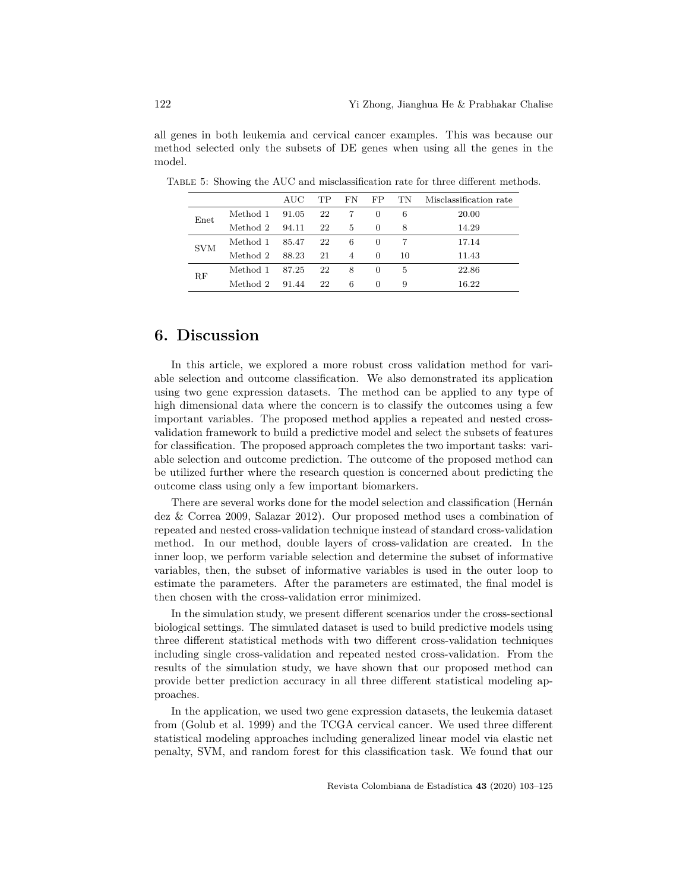all genes in both leukemia and cervical cancer examples. This was because our method selected only the subsets of DE genes when using all the genes in the model.

|            |          | $\rm AUC$ | TP. | FN | FP       | ТN | Misclassification rate |
|------------|----------|-----------|-----|----|----------|----|------------------------|
| Enet       | Method 1 | 91.05     | 22  |    | $\theta$ | 6  | 20.00                  |
|            | Method 2 | 94.11     | 22  | 5  | $\Omega$ | 8  | 14.29                  |
| <b>SVM</b> | Method 1 | 85.47     | 22  | 6  | $\theta$ |    | 17.14                  |
|            | Method 2 | 88.23     | 21  | 4  | $\theta$ | 10 | 11.43                  |
| RF         | Method 1 | 87.25     | 22  | 8  | $\theta$ | 5  | 22.86                  |
|            | Method 2 | 91.44     | 22  | 6  | $\Omega$ | 9  | 16.22                  |

Table 5: Showing the AUC and misclassification rate for three different methods.

# **6. Discussion**

In this article, we explored a more robust cross validation method for variable selection and outcome classification. We also demonstrated its application using two gene expression datasets. The method can be applied to any type of high dimensional data where the concern is to classify the outcomes using a few important variables. The proposed method applies a repeated and nested crossvalidation framework to build a predictive model and select the subsets of features for classification. The proposed approach completes the two important tasks: variable selection and outcome prediction. The outcome of the proposed method can be utilized further where the research question is concerned about predicting the outcome class using only a few important biomarkers.

There are several works done for the model selection and classification (Hernán dez & Correa 2009, Salazar 2012). Our proposed method uses a combination of repeated and nested cross-validation technique instead of standard cross-validation method. In our method, double layers of cross-validation are created. In the inner loop, we perform variable selection and determine the subset of informative variables, then, the subset of informative variables is used in the outer loop to estimate the parameters. After the parameters are estimated, the final model is then chosen with the cross-validation error minimized.

In the simulation study, we present different scenarios under the cross-sectional biological settings. The simulated dataset is used to build predictive models using three different statistical methods with two different cross-validation techniques including single cross-validation and repeated nested cross-validation. From the results of the simulation study, we have shown that our proposed method can provide better prediction accuracy in all three different statistical modeling approaches.

In the application, we used two gene expression datasets, the leukemia dataset from (Golub et al. 1999) and the TCGA cervical cancer. We used three different statistical modeling approaches including generalized linear model via elastic net penalty, SVM, and random forest for this classification task. We found that our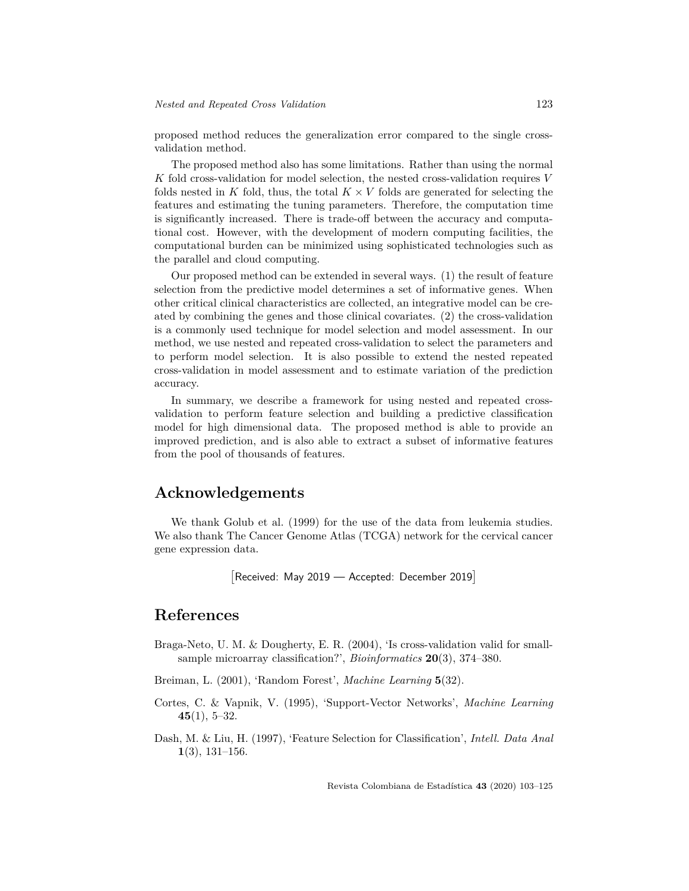proposed method reduces the generalization error compared to the single crossvalidation method.

The proposed method also has some limitations. Rather than using the normal *K* fold cross-validation for model selection, the nested cross-validation requires *V* folds nested in *K* fold, thus, the total  $K \times V$  folds are generated for selecting the features and estimating the tuning parameters. Therefore, the computation time is significantly increased. There is trade-off between the accuracy and computational cost. However, with the development of modern computing facilities, the computational burden can be minimized using sophisticated technologies such as the parallel and cloud computing.

Our proposed method can be extended in several ways. (1) the result of feature selection from the predictive model determines a set of informative genes. When other critical clinical characteristics are collected, an integrative model can be created by combining the genes and those clinical covariates. (2) the cross-validation is a commonly used technique for model selection and model assessment. In our method, we use nested and repeated cross-validation to select the parameters and to perform model selection. It is also possible to extend the nested repeated cross-validation in model assessment and to estimate variation of the prediction accuracy.

In summary, we describe a framework for using nested and repeated crossvalidation to perform feature selection and building a predictive classification model for high dimensional data. The proposed method is able to provide an improved prediction, and is also able to extract a subset of informative features from the pool of thousands of features.

### **Acknowledgements**

We thank Golub et al. (1999) for the use of the data from leukemia studies. We also thank The Cancer Genome Atlas (TCGA) network for the cervical cancer gene expression data.

```
[
Received: May 2019 — Accepted: December 2019]
```
### **References**

Braga-Neto, U. M. & Dougherty, E. R. (2004), 'Is cross-validation valid for smallsample microarray classification?', *Bioinformatics* **20**(3), 374–380.

Breiman, L. (2001), 'Random Forest', *Machine Learning* **5**(32).

- Cortes, C. & Vapnik, V. (1995), 'Support-Vector Networks', *Machine Learning* **45**(1), 5–32.
- Dash, M. & Liu, H. (1997), 'Feature Selection for Classification', *Intell. Data Anal* **1**(3), 131–156.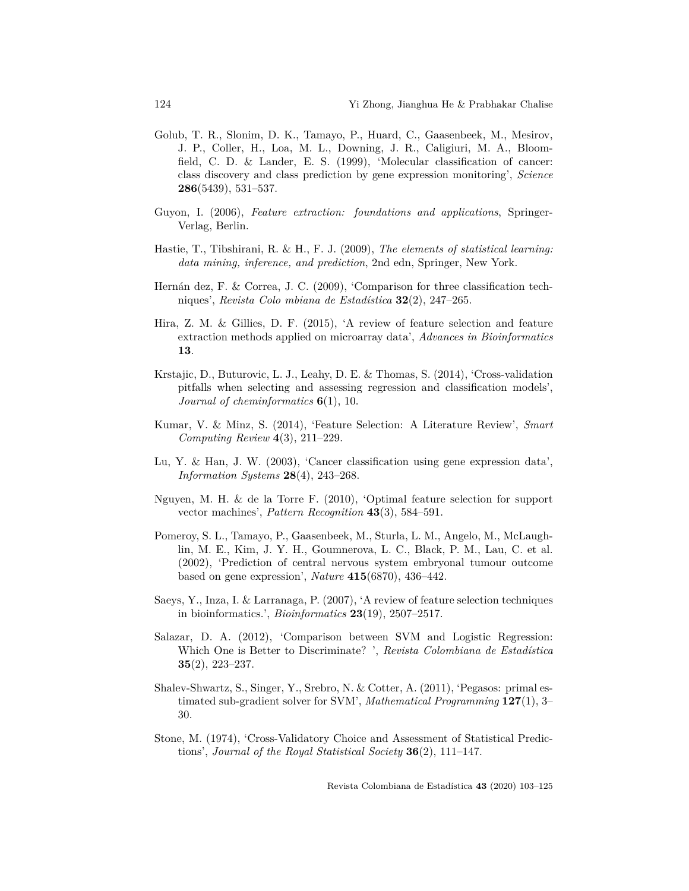- Golub, T. R., Slonim, D. K., Tamayo, P., Huard, C., Gaasenbeek, M., Mesirov, J. P., Coller, H., Loa, M. L., Downing, J. R., Caligiuri, M. A., Bloomfield, C. D. & Lander, E. S. (1999), 'Molecular classification of cancer: class discovery and class prediction by gene expression monitoring', *Science* **286**(5439), 531–537.
- Guyon, I. (2006), *Feature extraction: foundations and applications*, Springer-Verlag, Berlin.
- Hastie, T., Tibshirani, R. & H., F. J. (2009), *The elements of statistical learning: data mining, inference, and prediction*, 2nd edn, Springer, New York.
- Hernán dez, F. & Correa, J. C. (2009), 'Comparison for three classification techniques', *Revista Colo mbiana de Estadística* **32**(2), 247–265.
- Hira, Z. M. & Gillies, D. F. (2015), 'A review of feature selection and feature extraction methods applied on microarray data', *Advances in Bioinformatics* **13**.
- Krstajic, D., Buturovic, L. J., Leahy, D. E. & Thomas, S. (2014), 'Cross-validation pitfalls when selecting and assessing regression and classification models', *Journal of cheminformatics* **6**(1), 10.
- Kumar, V. & Minz, S. (2014), 'Feature Selection: A Literature Review', *Smart Computing Review* **4**(3), 211–229.
- Lu, Y. & Han, J. W. (2003), 'Cancer classification using gene expression data', *Information Systems* **28**(4), 243–268.
- Nguyen, M. H. & de la Torre F. (2010), 'Optimal feature selection for support vector machines', *Pattern Recognition* **43**(3), 584–591.
- Pomeroy, S. L., Tamayo, P., Gaasenbeek, M., Sturla, L. M., Angelo, M., McLaughlin, M. E., Kim, J. Y. H., Goumnerova, L. C., Black, P. M., Lau, C. et al. (2002), 'Prediction of central nervous system embryonal tumour outcome based on gene expression', *Nature* **415**(6870), 436–442.
- Saeys, Y., Inza, I. & Larranaga, P. (2007), 'A review of feature selection techniques in bioinformatics.', *Bioinformatics* **23**(19), 2507–2517.
- Salazar, D. A. (2012), 'Comparison between SVM and Logistic Regression: Which One is Better to Discriminate? ', *Revista Colombiana de Estadística* **35**(2), 223–237.
- Shalev-Shwartz, S., Singer, Y., Srebro, N. & Cotter, A. (2011), 'Pegasos: primal estimated sub-gradient solver for SVM', *Mathematical Programming* **127**(1), 3– 30.
- Stone, M. (1974), 'Cross-Validatory Choice and Assessment of Statistical Predictions', *Journal of the Royal Statistical Society* **36**(2), 111–147.